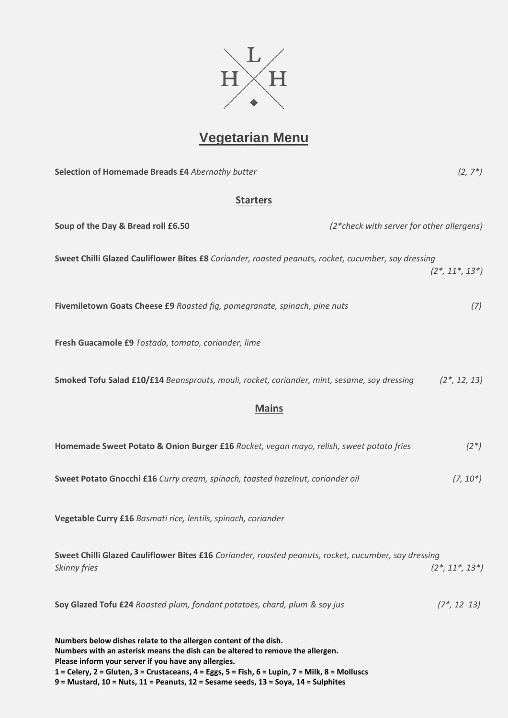

## **Vegetarian Menu**

| Selection of Homemade Breads £4 Abernathy butter                                                                                                                                                           | $(2, 7^*)$          |
|------------------------------------------------------------------------------------------------------------------------------------------------------------------------------------------------------------|---------------------|
| <b>Starters</b>                                                                                                                                                                                            |                     |
| Soup of the Day & Bread roll £6.50<br>(2*check with server for other allergens)                                                                                                                            |                     |
| Sweet Chilli Glazed Cauliflower Bites £8 Coriander, roasted peanuts, rocket, cucumber, soy dressing                                                                                                        | $(2^*, 11^*, 13^*)$ |
| Fivemiletown Goats Cheese £9 Roasted fig, pomegranate, spinach, pine nuts                                                                                                                                  | (7)                 |
| Fresh Guacamole £9 Tostada, tomato, coriander, lime                                                                                                                                                        |                     |
| Smoked Tofu Salad £10/£14 Beansprouts, mouli, rocket, coriander, mint, sesame, soy dressing                                                                                                                | $(2^*, 12, 13)$     |
| <b>Mains</b>                                                                                                                                                                                               |                     |
| Homemade Sweet Potato & Onion Burger £16 Rocket, vegan mayo, relish, sweet potato fries                                                                                                                    | $(2^*)$             |
| Sweet Potato Gnocchi £16 Curry cream, spinach, toasted hazelnut, coriander oil                                                                                                                             | $(7, 10^*)$         |
| Vegetable Curry £16 Basmati rice, lentils, spinach, coriander                                                                                                                                              |                     |
| Sweet Chilli Glazed Cauliflower Bites £16 Coriander, roasted peanuts, rocket, cucumber, soy dressing<br><b>Skinny fries</b>                                                                                | $(2^*, 11^*, 13^*)$ |
| Soy Glazed Tofu £24 Roasted plum, fondant potatoes, chard, plum & soy jus                                                                                                                                  | $(7^*, 12 \ 13)$    |
| Numbers below dishes relate to the allergen content of the dish.<br>Numbers with an asterisk means the dish can be altered to remove the allergen.<br>Please inform your server if you have any allergies. |                     |

**1 = Celery, 2 = Gluten, 3 = Crustaceans, 4 = Eggs, 5 = Fish, 6 = Lupin, 7 = Milk, 8 = Molluscs 9 = Mustard, 10 = Nuts, 11 = Peanuts, 12 = Sesame seeds, 13 = Soya, 14 = Sulphites**